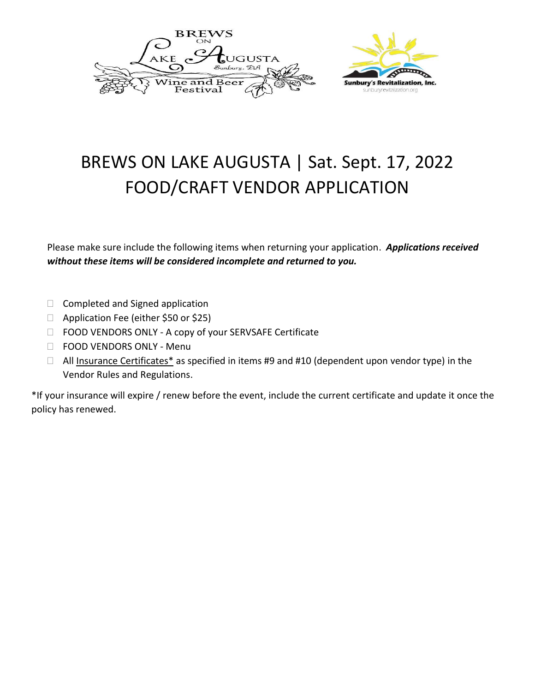



# BREWS ON LAKE AUGUSTA | Sat. Sept. 17, 2022 FOOD/CRAFT VENDOR APPLICATION

Please make sure include the following items when returning your application. *Applications received without these items will be considered incomplete and returned to you.* 

- $\Box$  Completed and Signed application
- □ Application Fee (either \$50 or \$25)
- □ FOOD VENDORS ONLY A copy of your SERVSAFE Certificate
- □ FOOD VENDORS ONLY Menu
- $\Box$  All Insurance Certificates\* as specified in items #9 and #10 (dependent upon vendor type) in the Vendor Rules and Regulations.

\*If your insurance will expire / renew before the event, include the current certificate and update it once the policy has renewed.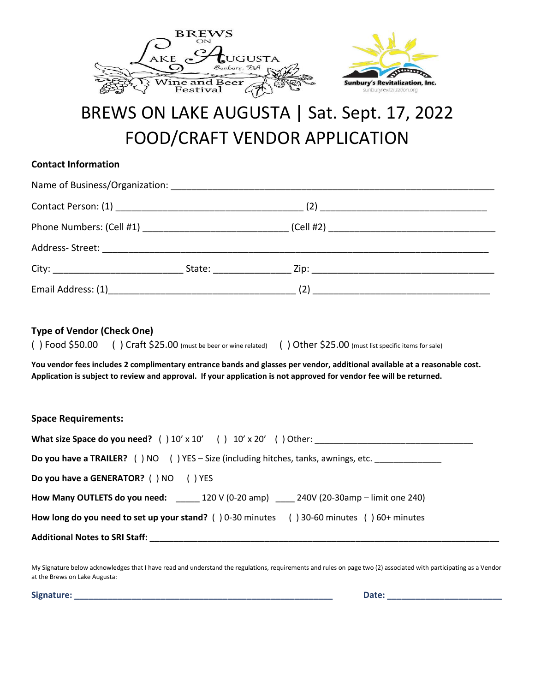

# BREWS ON LAKE AUGUSTA | Sat. Sept. 17, 2022 FOOD/CRAFT VENDOR APPLICATION

#### **Contact Information**

| <b>Type of Vendor (Check One)</b>     | () Food \$50.00 () Craft \$25.00 (must be beer or wine related) () Other \$25.00 (must list specific items for sale)<br>You vendor fees includes 2 complimentary entrance bands and glasses per vendor, additional available at a reasonable cost.<br>Application is subject to review and approval. If your application is not approved for vendor fee will be returned. |  |
|---------------------------------------|---------------------------------------------------------------------------------------------------------------------------------------------------------------------------------------------------------------------------------------------------------------------------------------------------------------------------------------------------------------------------|--|
| <b>Space Requirements:</b>            |                                                                                                                                                                                                                                                                                                                                                                           |  |
|                                       |                                                                                                                                                                                                                                                                                                                                                                           |  |
|                                       | <b>Do you have a TRAILER?</b> () NO () YES - Size (including hitches, tanks, awnings, etc.                                                                                                                                                                                                                                                                                |  |
| Do you have a GENERATOR? () NO () YES |                                                                                                                                                                                                                                                                                                                                                                           |  |
|                                       | How Many OUTLETS do you need: ______ 120 V (0-20 amp) _____ 240V (20-30amp - limit one 240)                                                                                                                                                                                                                                                                               |  |
|                                       | How long do you need to set up your stand? () 0-30 minutes () 30-60 minutes () 60+ minutes                                                                                                                                                                                                                                                                                |  |
|                                       | Additional Notes to SRI Staff: New York State of the Contract of the Contract of the Contract of the Contract of the Contract of the Contract of the Contract of the Contract of the Contract of the Contract of the Contract                                                                                                                                             |  |

My Signature below acknowledges that I have read and understand the regulations, requirements and rules on page two (2) associated with participating as a Vendor at the Brews on Lake Augusta:

**Signature: \_\_\_\_\_\_\_\_\_\_\_\_\_\_\_\_\_\_\_\_\_\_\_\_\_\_\_\_\_\_\_\_\_\_\_\_\_\_\_\_\_\_\_\_\_\_\_\_\_\_\_\_\_\_ Date: \_\_\_\_\_\_\_\_\_\_\_\_\_\_\_\_\_\_\_\_\_\_\_\_**

ATTERIOR

nburyrevitalization.org